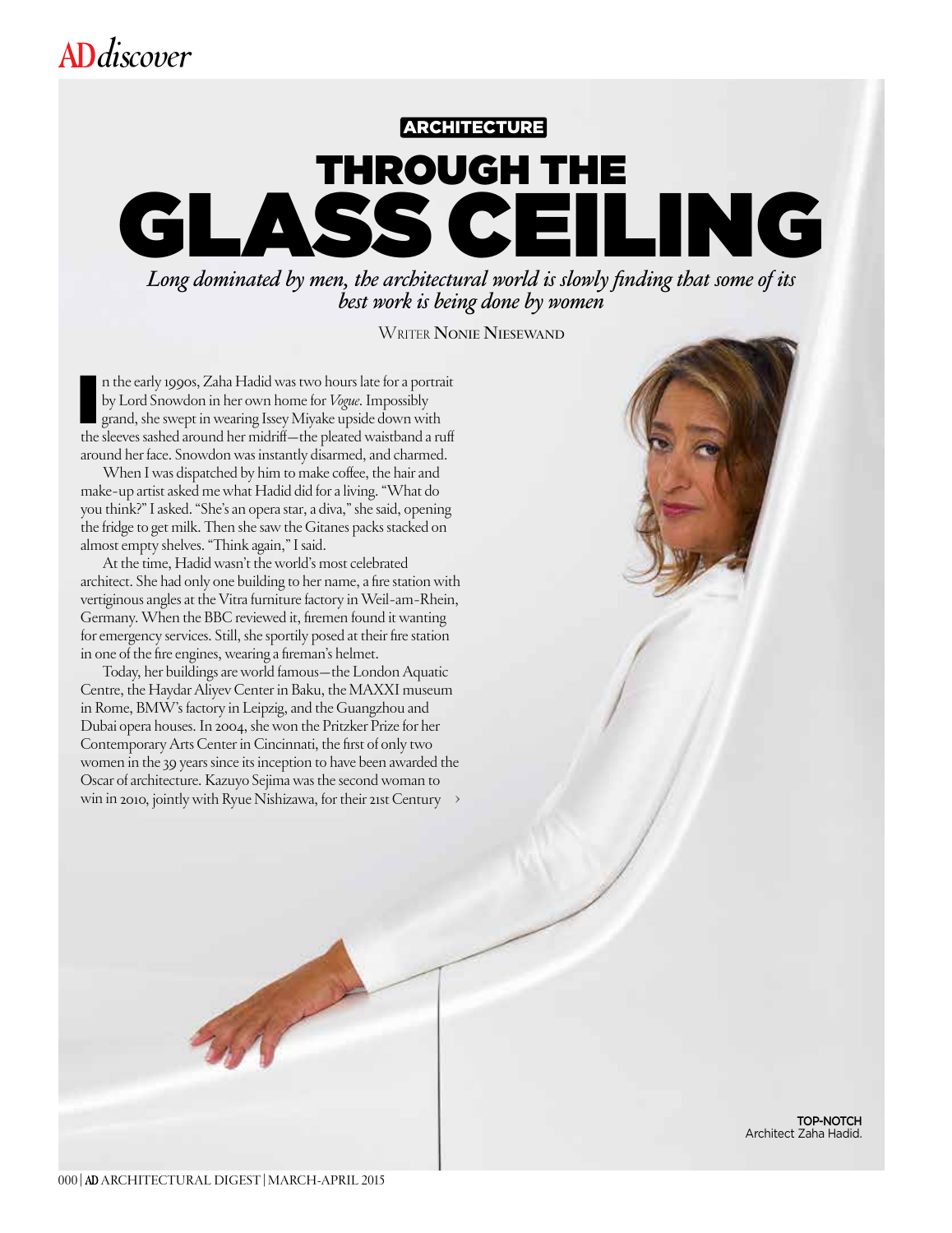# **ARCHITECTURE** THROUGH THE<br>SS CEILING SS CEI

*Long dominated by men, the architectural world is slowly finding that some of its* best work is being done by women

Writer **Nonie Niesewand**

n the early 1990s, Zaha Hadid was two hours late for a portrait by Lord Snowdon in her own home for *Vogue*. Impossibly grand, she swept in wearing Issey Miyake upside down with the sleeves sashed around her midriff—the pl n the early 1990s, Zaha Hadid was two hours late for a portrait by Lord Snowdon in her own home for *Vogue*. Impossibly grand, she swept in wearing Issey Miyake upside down with around her face. Snowdon was instantly disarmed, and charmed.

When I was dispatched by him to make coffee, the hair and make-up artist asked me what Hadid did for a living. "What do you think?" I asked. "She's an opera star, a diva," she said, opening the fridge to get milk. Then she saw the Gitanes packs stacked on almost empty shelves. "Think again," I said.

At the time, Hadid wasn't the world's most celebrated architect. She had only one building to her name, a fire station with vertiginous angles at the Vitra furniture factory in Weil-am-Rhein, Germany. When the BBC reviewed it, firemen found it wanting for emergency services. Still, shesportily posed at their fire station in one of the fire engines, wearing a fireman's helmet.

Today, her buildings are world famous—the London Aquatic Centre, the Haydar Aliyev Center in Baku, the MAXXI museum in Rome, BMW's factory in Leipzig, and the Guangzhou and Dubai opera houses. In 2004, she won the Pritzker Prize for her Contemporary Arts Center in Cincinnati, the first of only two women in the 39 years since its inception to have been awarded the Oscar of architecture. Kazuyo Sejima was the second woman to win in 2010, jointly with Ryue Nishizawa, for their 21st Century **>**

TOP-NOTCH Architect Zaha Hadid.

000| ARCHITECTURAL DIGEST|MARCH-APRIL 2015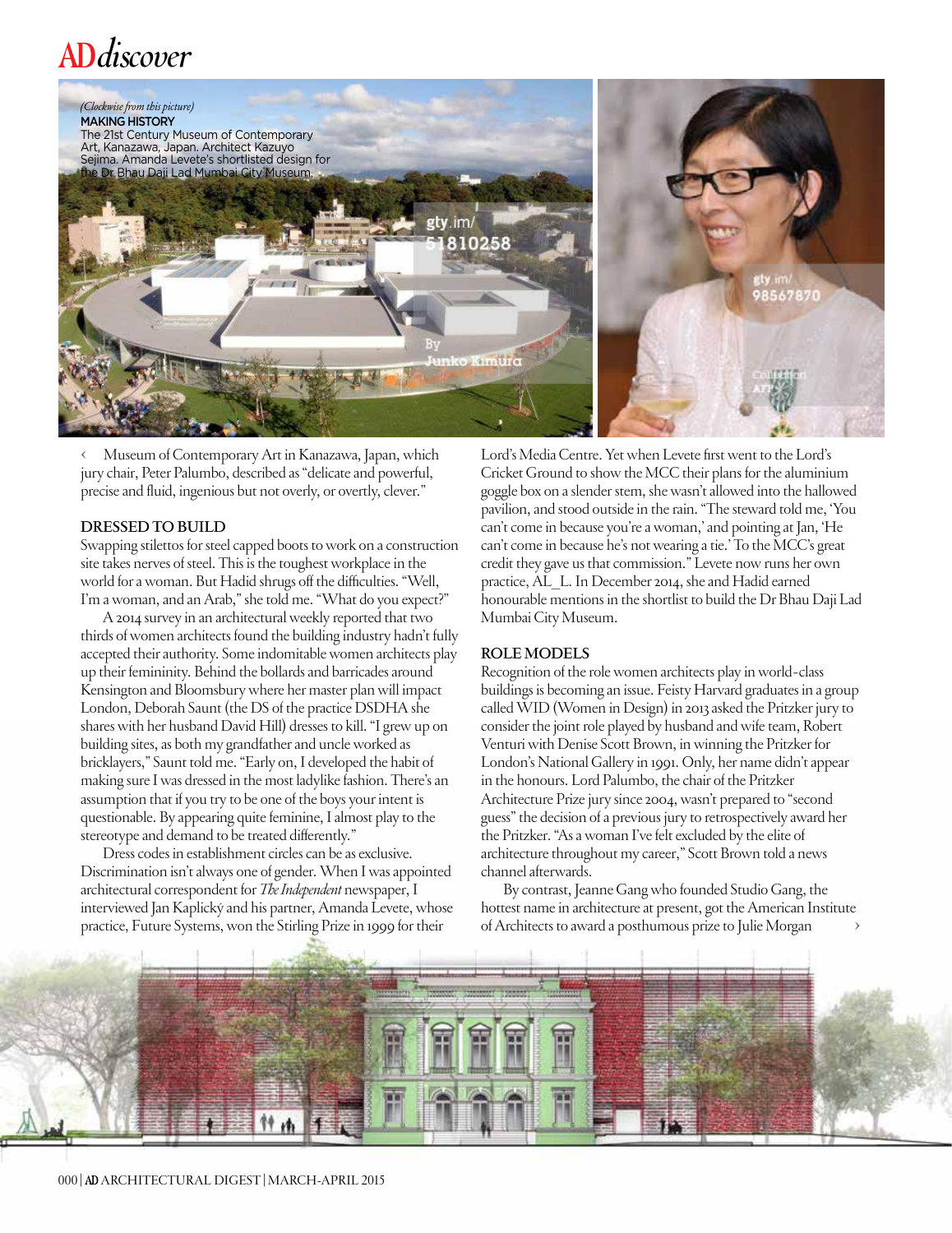

**<** Museum of Contemporary Art in Kanazawa, Japan, which jury chair, Peter Palumbo, described as "delicate and powerful, precise and fluid, ingenious but not overly, or overtly, clever."

#### **DRESSED TO BUILD**

Swapping stilettos for steel capped boots to work on a construction site takes nerves of steel. This is the toughest workplace in the world for a woman. But Hadid shrugs off the difficulties. "Well, I'm a woman, and an Arab," she told me. "What do you expect?"

A 2014 survey in an architectural weekly reported that two thirds of women architects found the building industry hadn't fully accepted their authority. Some indomitable women architects play up their femininity. Behind the bollards and barricades around Kensington and Bloomsbury where her master plan will impact London, Deborah Saunt (the DS of the practice DSDHA she shares with her husband David Hill) dresses to kill. "I grew up on building sites, as both my grandfather and uncle worked as bricklayers," Saunt told me. "Early on, I developed the habit of making sure I was dressed in the most ladylike fashion. There's an assumption that if you try to be one of the boys your intent is questionable. By appearing quite feminine, I almost play to the stereotype and demand to be treated differently."

Dress codes in establishment circles can be as exclusive. Discrimination isn't always one of gender. When I was appointed architectural correspondent for *The Independent* newspaper, I interviewed Jan Kaplický and his partner, Amanda Levete, whose practice, Future Systems, won the Stirling Prize in 1999 for their

Lord's Media Centre. Yet when Levete first went to the Lord's Cricket Ground to show the MCC their plans for the aluminium goggle box on a slender stem, she wasn't allowed into the hallowed pavilion, and stood outside in the rain. "The steward told me, 'You can't come in because you're a woman,' and pointing at Jan, 'He can't come in because he's not wearing a tie.' To the MCC's great credit they gave us that commission." Levete now runs her own practice, AL\_L. In December 2014, she and Hadid earned honourable mentions in the shortlist to build the Dr Bhau Daji Lad Mumbai City Museum.

#### **ROLE MODELS**

Recognition of the role women architects play in world-class buildings is becoming an issue. Feisty Harvard graduates in a group called WID (Women in Design) in 2013 asked the Pritzker jury to consider the joint role played by husband and wife team, Robert Venturi with Denise Scott Brown, in winning the Pritzker for London's National Gallery in 1991. Only, her name didn't appear in the honours. Lord Palumbo, the chair of the Pritzker Architecture Prize jury since 2004, wasn't prepared to "second guess" the decision of a previous jury to retrospectively award her the Pritzker. "As a woman I've felt excluded by the elite of architecture throughout my career," Scott Brown told a news channel afterwards.

By contrast, Jeanne Gang who founded Studio Gang, the hottest name in architecture at present, got the American Institute of Architects to award a posthumous prize to Julie Morgan

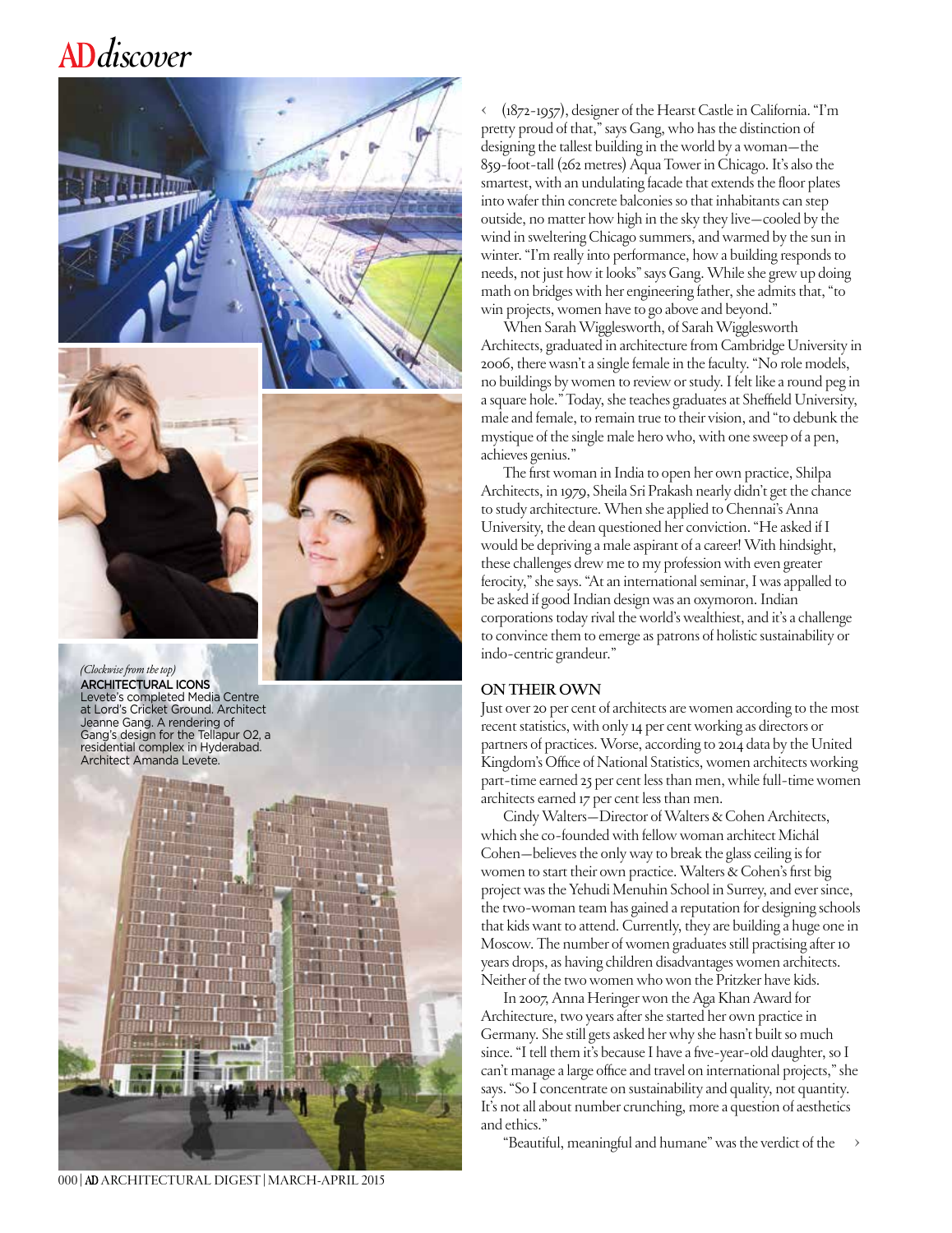

*(Clockwise from the top)*  ARCHITECTURAL ICONS Levete's completed Media Centre at Lord's Cricket Ground. Architect Jeanne Gang. A rendering of Gang's design for the Tellapur O2, a residential complex in Hyderabad. Architect Amanda Levete.



000| ARCHITECTURAL DIGEST|MARCH-APRIL 2015

**<** (1872-1957), designer of the Hearst Castle in California. "I'm pretty proud of that," says Gang, who has the distinction of designing the tallest building in the world by a woman—the 859-foot-tall (262 metres) Aqua Tower in Chicago. It's also the smartest, with an undulating facade that extends the floor plates into wafer thin concrete balconies so that inhabitants can step outside, no matter how high in the sky they live—cooled by the wind in sweltering Chicago summers, and warmed by the sun in winter. "I'm really into performance, how a building responds to needs, not just how it looks" says Gang. While she grew up doing math on bridges with her engineering father, she admits that, "to win projects, women have to go above and beyond."

When Sarah Wigglesworth, of Sarah Wigglesworth Architects, graduated in architecture from Cambridge University in 2006, there wasn't a single female in the faculty. "No role models, no buildings by women to review or study. I felt like a round peg in a square hole." Today, she teaches graduates at Sheffield University, male and female, to remain true to their vision, and "to debunk the mystique of the single male hero who, with one sweep of a pen, achieves genius."

The first woman in India to open her own practice, Shilpa Architects, in 1979, Sheila Sri Prakash nearly didn't get the chance to study architecture. When she applied to Chennai's Anna University, the dean questioned her conviction. "He asked if I would be depriving a male aspirant of a career! With hindsight, these challenges drew me to my profession with even greater ferocity," she says. "At an international seminar, I was appalled to be asked if good Indian design was an oxymoron. Indian corporations today rival the world's wealthiest, and it's a challenge to convince them to emerge as patrons of holistic sustainability or indo-centric grandeur."

#### **ON THEIR OWN**

Just over 20 per cent of architects are women according to the most recent statistics, with only 14 per cent working as directors or partners of practices. Worse, according to 2014 data by the United Kingdom's Office of National Statistics, women architects working part-time earned 25 per cent less than men, while full-time women architects earned 17 per cent less than men.

Cindy Walters—Director of Walters & Cohen Architects, which she co-founded with fellow woman architect Michál Cohen—believes the only way to break the glass ceiling is for women to start their own practice. Walters & Cohen's first big project was the Yehudi Menuhin School in Surrey, and ever since, the two-woman team has gained a reputation for designing schools that kids want to attend. Currently, they are building a huge one in Moscow. The number of women graduates still practising after 10 years drops, as having children disadvantages women architects. Neither of the two women who won the Pritzker have kids.

In 2007, Anna Heringer won the Aga Khan Award for Architecture, two years after she started her own practice in Germany. She still gets asked her why she hasn't built so much since. "I tell them it's because I have a five-year-old daughter, so I can't manage a large office and travel on international projects," she says. "So I concentrate on sustainability and quality, not quantity. It's not all about number crunching, more a question of aesthetics and ethics."

"Beautiful, meaningful and humane" was the verdict of the **>**